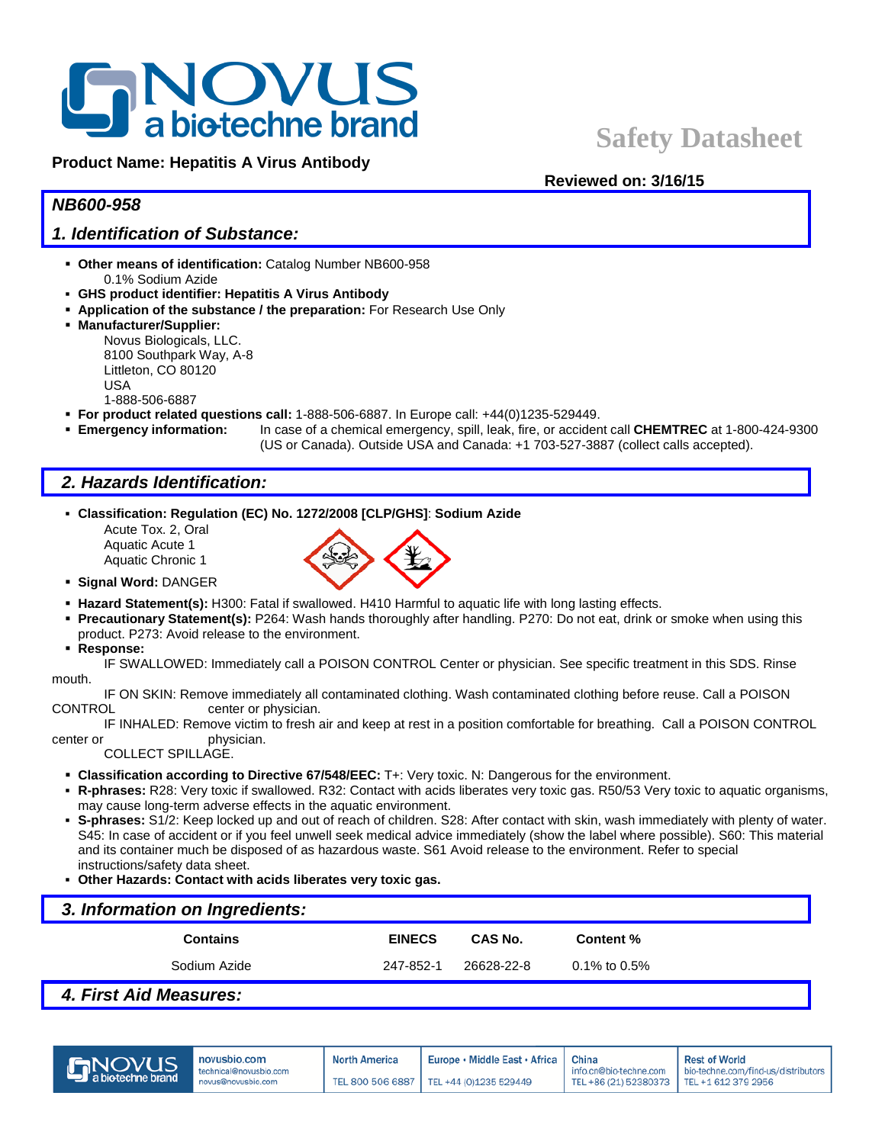

**Product Name: Hepatitis A Virus Antibody**

**Reviewed on: 3/16/15**

# *NB600-958*

# *1. Identification of Substance:*

- **Other means of identification:** Catalog Number NB600-958 0.1% Sodium Azide
- **GHS product identifier: Hepatitis A Virus Antibody**
- **Application of the substance / the preparation:** For Research Use Only
- **Manufacturer/Supplier:**
	- Novus Biologicals, LLC. 8100 Southpark Way, A-8 Littleton, CO 80120 USA 1-888-506-6887
- **For product related questions call:** 1-888-506-6887. In Europe call: +44(0)1235-529449.
- **Emergency information:** In case of a chemical emergency, spill, leak, fire, or accident call **CHEMTREC** at 1-800-424-9300
	- (US or Canada). Outside USA and Canada: +1 703-527-3887 (collect calls accepted).

# *2. Hazards Identification:*

- **Classification: Regulation (EC) No. 1272/2008 [CLP/GHS]**: **Sodium Azide**
	- Acute Tox. 2, Oral Aquatic Acute 1 Aquatic Chronic 1



- **Signal Word:** DANGER
- **Hazard Statement(s):** H300: Fatal if swallowed. H410 Harmful to aquatic life with long lasting effects.
- **Precautionary Statement(s):** P264: Wash hands thoroughly after handling. P270: Do not eat, drink or smoke when using this product. P273: Avoid release to the environment.
- **Response:**

IF SWALLOWED: Immediately call a POISON CONTROL Center or physician. See specific treatment in this SDS. Rinse mouth.

IF ON SKIN: Remove immediately all contaminated clothing. Wash contaminated clothing before reuse. Call a POISON CONTROL center or physician.

IF INHALED: Remove victim to fresh air and keep at rest in a position comfortable for breathing. Call a POISON CONTROL center or physician.

COLLECT SPILLAGE.

- **Classification according to Directive 67/548/EEC:** T+: Very toxic. N: Dangerous for the environment.
- **R-phrases:** R28: Very toxic if swallowed. R32: Contact with acids liberates very toxic gas. R50/53 Very toxic to aquatic organisms, may cause long-term adverse effects in the aquatic environment.
- **S-phrases:** S1/2: Keep locked up and out of reach of children. S28: After contact with skin, wash immediately with plenty of water. S45: In case of accident or if you feel unwell seek medical advice immediately (show the label where possible). S60: This material and its container much be disposed of as hazardous waste. S61 Avoid release to the environment. Refer to special instructions/safety data sheet.
- **Other Hazards: Contact with acids liberates very toxic gas.**

| 3. Information on Ingredients: |               |                |              |  |  |  |
|--------------------------------|---------------|----------------|--------------|--|--|--|
| <b>Contains</b>                | <b>EINECS</b> | <b>CAS No.</b> | Content %    |  |  |  |
| Sodium Azide                   | 247-852-1     | 26628-22-8     | 0.1% to 0.5% |  |  |  |
|                                |               |                |              |  |  |  |

### *4. First Aid Measures:*



China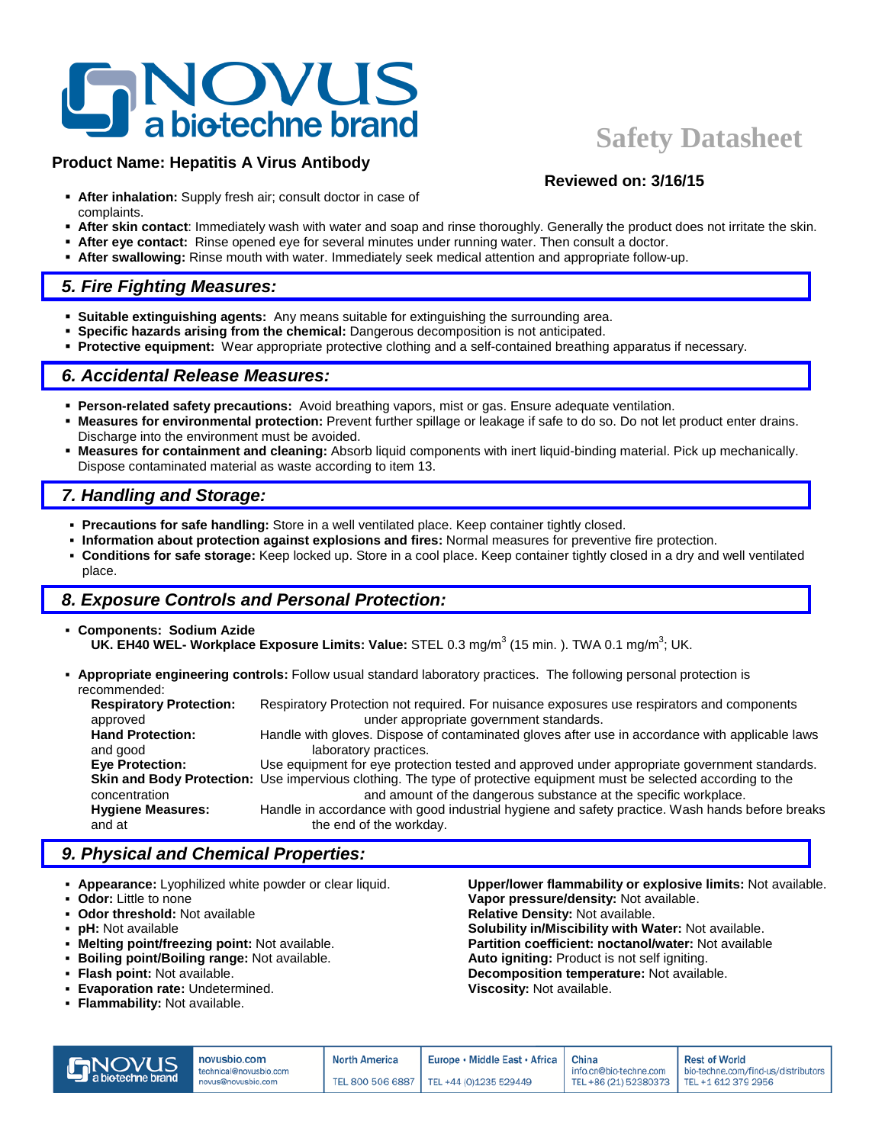# **NOVUS**<br>**a** biotechne brand

# **Product Name: Hepatitis A Virus Antibody**

# **Safety Datasheet**

**Reviewed on: 3/16/15**

- **After inhalation:** Supply fresh air; consult doctor in case of complaints.
- **After skin contact**: Immediately wash with water and soap and rinse thoroughly. Generally the product does not irritate the skin.
- **After eye contact:** Rinse opened eye for several minutes under running water. Then consult a doctor.
- **After swallowing:** Rinse mouth with water. Immediately seek medical attention and appropriate follow-up.

# *5. Fire Fighting Measures:*

- **Suitable extinguishing agents:** Any means suitable for extinguishing the surrounding area.
- **Specific hazards arising from the chemical:** Dangerous decomposition is not anticipated.
- **Protective equipment:** Wear appropriate protective clothing and a self-contained breathing apparatus if necessary.

# *6. Accidental Release Measures:*

- **Person-related safety precautions:** Avoid breathing vapors, mist or gas. Ensure adequate ventilation.
- **Measures for environmental protection:** Prevent further spillage or leakage if safe to do so. Do not let product enter drains. Discharge into the environment must be avoided.
- **Measures for containment and cleaning:** Absorb liquid components with inert liquid-binding material. Pick up mechanically. Dispose contaminated material as waste according to item 13.

# *7. Handling and Storage:*

- **Precautions for safe handling:** Store in a well ventilated place. Keep container tightly closed.
- **Information about protection against explosions and fires:** Normal measures for preventive fire protection.
- **Conditions for safe storage:** Keep locked up. Store in a cool place. Keep container tightly closed in a dry and well ventilated place.

# *8. Exposure Controls and Personal Protection:*

- **Components: Sodium Azide UK. EH40 WEL- Workplace Exposure Limits: Value:** STEL 0.3 mg/m<sup>3</sup> (15 min. ). TWA 0.1 mg/m<sup>3</sup>; UK.
- **Appropriate engineering controls:** Follow usual standard laboratory practices. The following personal protection is recommended:

| <b>Respiratory Protection:</b> | Respiratory Protection not required. For nuisance exposures use respirators and components                            |
|--------------------------------|-----------------------------------------------------------------------------------------------------------------------|
| approved                       | under appropriate government standards.                                                                               |
| <b>Hand Protection:</b>        | Handle with gloves. Dispose of contaminated gloves after use in accordance with applicable laws                       |
| and good                       | laboratory practices.                                                                                                 |
| <b>Eve Protection:</b>         | Use equipment for eye protection tested and approved under appropriate government standards.                          |
|                                | Skin and Body Protection: Use impervious clothing. The type of protective equipment must be selected according to the |
| concentration                  | and amount of the dangerous substance at the specific workplace.                                                      |
| <b>Hygiene Measures:</b>       | Handle in accordance with good industrial hygiene and safety practice. Wash hands before breaks                       |
| and at                         | the end of the workday.                                                                                               |
|                                |                                                                                                                       |

# *9. Physical and Chemical Properties:*

- **Appearance:** Lyophilized white powder or clear liquid. **Upper/lower flammability or explosive limits:** Not available.
- 
- 
- 
- 
- **Boiling point/Boiling range:** Not available. **Auto igniting:** Product is not self igniting.
- 
- **Evaporation rate: Undetermined.**
- **Flammability:** Not available.

**Odor:** Little to none **Vapor pressure/density:** Not available.<br> **Odor threshold:** Not available **Constanting the Constant Constant Paper** Relative Density: Not available. **Relative Density: Not available. pH:** Not available **Solubility in/Miscibility with Water:** Not available.<br>**Melting point/freezing point:** Not available. **Solubility in/Miscibility with Water:** Not available. Partition coefficient: noctanol/water: Not available **Flash point:** Not available. **Decomposition temperature:** Not available.<br>**Evaporation rate:** Undetermined. **Decomposition of Science Composition of Available.** 

|                | novusbio.com                                 | <b>North America</b> | Europe • Middle East • Africa   China     |                                                                     | <b>Rest of World</b>                |
|----------------|----------------------------------------------|----------------------|-------------------------------------------|---------------------------------------------------------------------|-------------------------------------|
| <b>S</b> NOVUS | technical@novusbio.com<br>novus@novusbio.com |                      | TEL 800 506 6887   TEL +44 (0)1235 529449 | info.cn@bio-techne.com<br>TEL +86 (21) 52380373 TEL +1 612 379 2956 | bio-techne.com/find-us/distributors |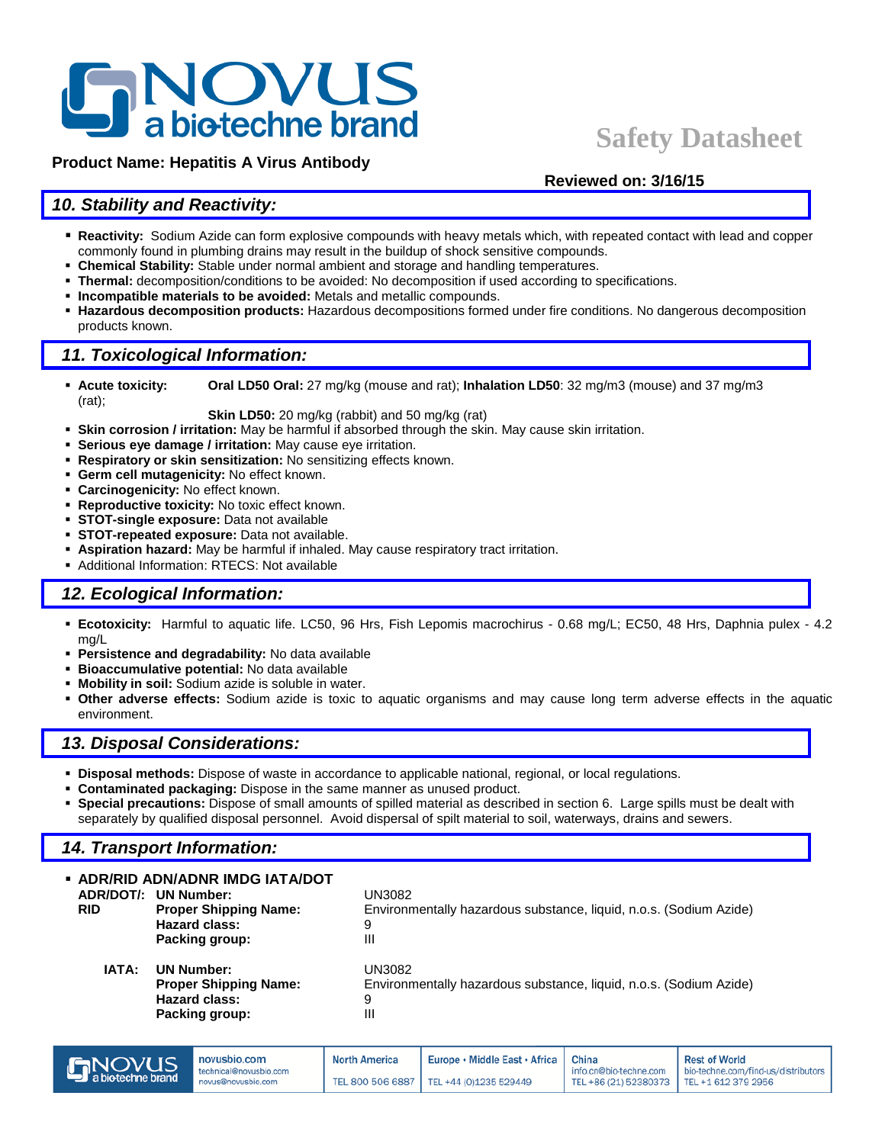# **NOVUS**<br>**a** biotechne brand

# **Product Name: Hepatitis A Virus Antibody**

# **Safety Datasheet**

## **Reviewed on: 3/16/15**

# *10. Stability and Reactivity:*

- **Reactivity:** Sodium Azide can form explosive compounds with heavy metals which, with repeated contact with lead and copper commonly found in plumbing drains may result in the buildup of shock sensitive compounds.
- **Chemical Stability:** Stable under normal ambient and storage and handling temperatures.
- **Thermal:** decomposition/conditions to be avoided: No decomposition if used according to specifications.
- **Incompatible materials to be avoided:** Metals and metallic compounds.
- **Hazardous decomposition products:** Hazardous decompositions formed under fire conditions. No dangerous decomposition products known.

# *11. Toxicological Information:*

 **Acute toxicity: Oral LD50 Oral:** 27 mg/kg (mouse and rat); **Inhalation LD50**: 32 mg/m3 (mouse) and 37 mg/m3 (rat);

**Skin LD50:** 20 mg/kg (rabbit) and 50 mg/kg (rat)

- **Skin corrosion / irritation:** May be harmful if absorbed through the skin. May cause skin irritation.
- **Serious eye damage / irritation:** May cause eye irritation.
- **Respiratory or skin sensitization:** No sensitizing effects known.
- **Germ cell mutagenicity:** No effect known.
- **Carcinogenicity:** No effect known.
- **Reproductive toxicity:** No toxic effect known.
- **STOT-single exposure:** Data not available
- **STOT-repeated exposure:** Data not available.
- **Aspiration hazard:** May be harmful if inhaled. May cause respiratory tract irritation.
- Additional Information: RTECS: Not available

# *12. Ecological Information:*

- **Ecotoxicity:** Harmful to aquatic life. LC50, 96 Hrs, Fish Lepomis macrochirus 0.68 mg/L; EC50, 48 Hrs, Daphnia pulex 4.2 mg/L
- **Persistence and degradability:** No data available
- **Bioaccumulative potential:** No data available
- **Mobility in soil:** Sodium azide is soluble in water.
- **Other adverse effects:** Sodium azide is toxic to aquatic organisms and may cause long term adverse effects in the aquatic environment.

# *13. Disposal Considerations:*

- **Disposal methods:** Dispose of waste in accordance to applicable national, regional, or local regulations.
- **Contaminated packaging:** Dispose in the same manner as unused product.
- **Special precautions:** Dispose of small amounts of spilled material as described in section 6. Large spills must be dealt with separately by qualified disposal personnel. Avoid dispersal of spilt material to soil, waterways, drains and sewers.

# *14. Transport Information:*

| • ADR/RID ADN/ADNR IMDG IATA/DOT<br>ADR/DOT/: UN Number:<br><b>RID</b><br><b>Proper Shipping Name:</b><br><b>Hazard class:</b><br>Packing group: | UN3082<br>Environmentally hazardous substance, liquid, n.o.s. (Sodium Azide)<br>9<br>Ш |
|--------------------------------------------------------------------------------------------------------------------------------------------------|----------------------------------------------------------------------------------------|
| IATA:<br><b>UN Number:</b><br><b>Proper Shipping Name:</b><br><b>Hazard class:</b><br>Packing group:                                             | UN3082<br>Environmentally hazardous substance, liquid, n.o.s. (Sodium Azide)<br>9<br>Ш |